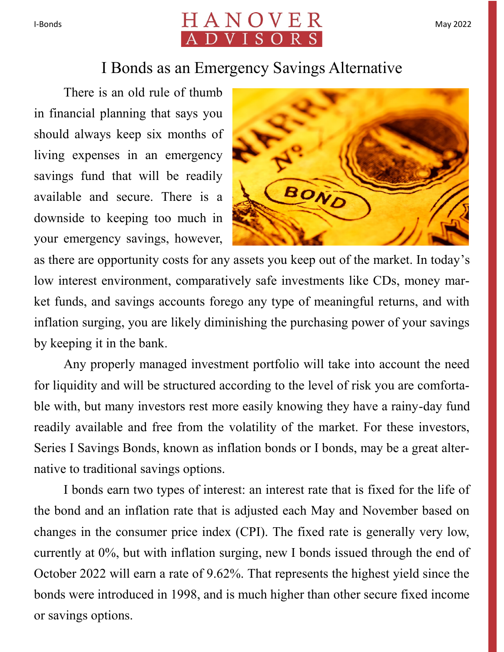

## I Bonds as an Emergency Savings Alternative

There is an old rule of thumb in financial planning that says you should always keep six months of living expenses in an emergency savings fund that will be readily available and secure. There is a downside to keeping too much in your emergency savings, however,



as there are opportunity costs for any assets you keep out of the market. In today's low interest environment, comparatively safe investments like CDs, money market funds, and savings accounts forego any type of meaningful returns, and with inflation surging, you are likely diminishing the purchasing power of your savings by keeping it in the bank.

Any properly managed investment portfolio will take into account the need for liquidity and will be structured according to the level of risk you are comfortable with, but many investors rest more easily knowing they have a rainy-day fund readily available and free from the volatility of the market. For these investors, Series I Savings Bonds, known as inflation bonds or I bonds, may be a great alternative to traditional savings options.

I bonds earn two types of interest: an interest rate that is fixed for the life of the bond and an inflation rate that is adjusted each May and November based on changes in the consumer price index (CPI). The fixed rate is generally very low, currently at 0%, but with inflation surging, new I bonds issued through the end of October 2022 will earn a rate of 9.62%. That represents the highest yield since the bonds were introduced in 1998, and is much higher than other secure fixed income or savings options.